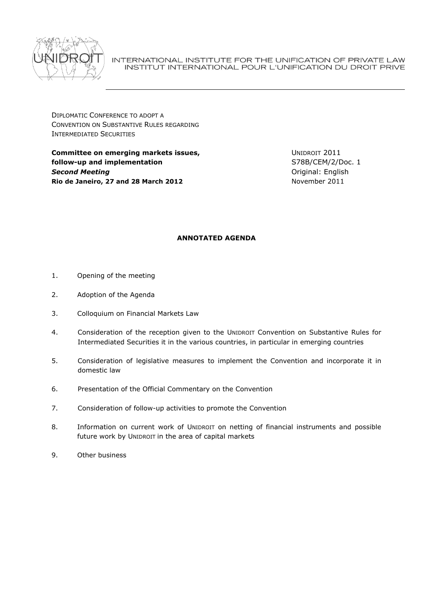

INTERNATIONAL INSTITUTE FOR THE UNIFICATION OF PRIVATE LAW INSTITUT INTERNATIONAL POUR L'UNIFICATION DU DROIT PRIVE

DIPLOMATIC CONFERENCE TO ADOPT A CONVENTION ON SUBSTANTIVE RULES REGARDING INTERMEDIATED SECURITIES

**Committee on emerging markets issues, follow-up and implementation** *Second Meeting* **Rio de Janeiro, 27 and 28 March 2012**

UNIDROIT 2011 S78B/CEM/2/Doc. 1 Original: English November 2011

# **ANNOTATED AGENDA**

- 1. Opening of the meeting
- 2. Adoption of the Agenda
- 3. Colloquium on Financial Markets Law
- 4. Consideration of the reception given to the UNIDROIT Convention on Substantive Rules for Intermediated Securities it in the various countries, in particular in emerging countries
- 5. Consideration of legislative measures to implement the Convention and incorporate it in domestic law
- 6. Presentation of the Official Commentary on the Convention
- 7. Consideration of follow-up activities to promote the Convention
- 8. Information on current work of UNIDROIT on netting of financial instruments and possible future work by UNIDROIT in the area of capital markets
- 9. Other business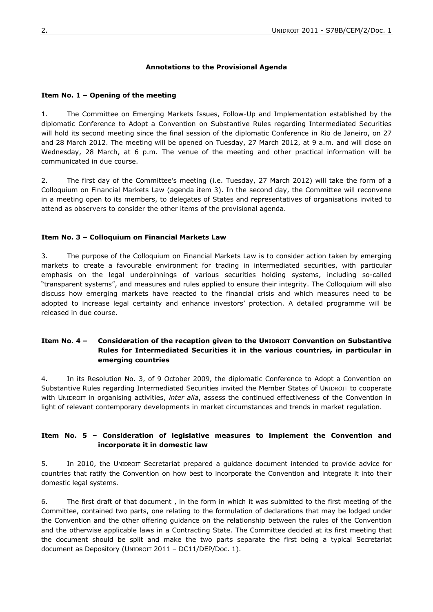### **Annotations to the Provisional Agenda**

#### **Item No. 1 – Opening of the meeting**

1. The Committee on Emerging Markets Issues, Follow-Up and Implementation established by the diplomatic Conference to Adopt a Convention on Substantive Rules regarding Intermediated Securities will hold its second meeting since the final session of the diplomatic Conference in Rio de Janeiro, on 27 and 28 March 2012. The meeting will be opened on Tuesday, 27 March 2012, at 9 a.m. and will close on Wednesday, 28 March, at 6 p.m. The venue of the meeting and other practical information will be communicated in due course.

2. The first day of the Committee's meeting (i.e. Tuesday, 27 March 2012) will take the form of a Colloquium on Financial Markets Law (agenda item 3). In the second day, the Committee will reconvene in a meeting open to its members, to delegates of States and representatives of organisations invited to attend as observers to consider the other items of the provisional agenda.

### **Item No. 3 – Colloquium on Financial Markets Law**

3. The purpose of the Colloquium on Financial Markets Law is to consider action taken by emerging markets to create a favourable environment for trading in intermediated securities, with particular emphasis on the legal underpinnings of various securities holding systems, including so-called "transparent systems", and measures and rules applied to ensure their integrity. The Colloquium will also discuss how emerging markets have reacted to the financial crisis and which measures need to be adopted to increase legal certainty and enhance investors' protection. A detailed programme will be released in due course.

## **Item No. 4 – Consideration of the reception given to the UNIDROIT Convention on Substantive Rules for Intermediated Securities it in the various countries, in particular in emerging countries**

4. In its Resolution No. 3, of 9 October 2009, the diplomatic Conference to Adopt a Convention on Substantive Rules regarding Intermediated Securities invited the Member States of UNIDROIT to cooperate with UNIDROIT in organising activities, *inter alia*, assess the continued effectiveness of the Convention in light of relevant contemporary developments in market circumstances and trends in market regulation.

### **Item No. 5 – Consideration of legislative measures to implement the Convention and incorporate it in domestic law**

5. In 2010, the UNIDROIT Secretariat prepared a guidance document intended to provide advice for countries that ratify the Convention on how best to incorporate the Convention and integrate it into their domestic legal systems.

6. The first draft of that document-, in the form in which it was submitted to the first meeting of the Committee, contained two parts, one relating to the formulation of declarations that may be lodged under the Convention and the other offering guidance on the relationship between the rules of the Convention and the otherwise applicable laws in a Contracting State. The Committee decided at its first meeting that the document should be split and make the two parts separate the first being a typical Secretariat document as Depository (UNIDROIT 2011 – DC11/DEP/Doc. 1).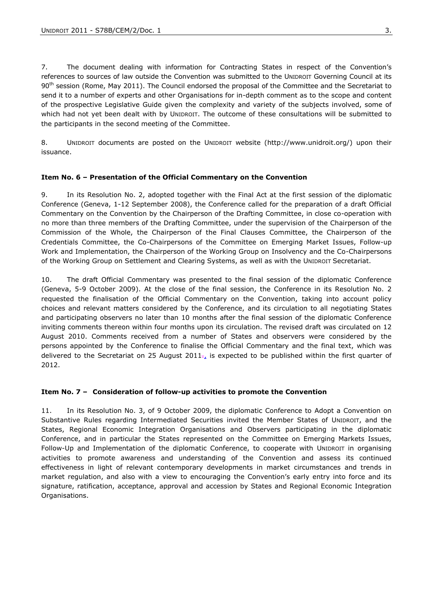7. The document dealing with information for Contracting States in respect of the Convention's references to sources of law outside the Convention was submitted to the UNIDROIT Governing Council at its 90<sup>th</sup> session (Rome, May 2011). The Council endorsed the proposal of the Committee and the Secretariat to send it to a number of experts and other Organisations for in-depth comment as to the scope and content of the prospective Legislative Guide given the complexity and variety of the subjects involved, some of which had not yet been dealt with by UNIDROIT. The outcome of these consultations will be submitted to the participants in the second meeting of the Committee.

8. UNIDROIT documents are posted on the UNIDROIT website (http://www.unidroit.org/) upon their issuance.

### **Item No. 6 – Presentation of the Official Commentary on the Convention**

9. In its Resolution No. 2, adopted together with the Final Act at the first session of the diplomatic Conference (Geneva, 1-12 September 2008), the Conference called for the preparation of a draft Official Commentary on the Convention by the Chairperson of the Drafting Committee, in close co-operation with no more than three members of the Drafting Committee, under the supervision of the Chairperson of the Commission of the Whole, the Chairperson of the Final Clauses Committee, the Chairperson of the Credentials Committee, the Co-Chairpersons of the Committee on Emerging Market Issues, Follow-up Work and Implementation, the Chairperson of the Working Group on Insolvency and the Co-Chairpersons of the Working Group on Settlement and Clearing Systems, as well as with the UNIDROIT Secretariat.

10. The draft Official Commentary was presented to the final session of the diplomatic Conference (Geneva, 5-9 October 2009). At the close of the final session, the Conference in its Resolution No. 2 requested the finalisation of the Official Commentary on the Convention, taking into account policy choices and relevant matters considered by the Conference, and its circulation to all negotiating States and participating observers no later than 10 months after the final session of the diplomatic Conference inviting comments thereon within four months upon its circulation. The revised draft was circulated on 12 August 2010. Comments received from a number of States and observers were considered by the persons appointed by the Conference to finalise the Official Commentary and the final text, which was delivered to the Secretariat on 25 August 2011 $\tau$  is expected to be published within the first quarter of 2012.

#### **Item No. 7 – Consideration of follow-up activities to promote the Convention**

11. In its Resolution No. 3, of 9 October 2009, the diplomatic Conference to Adopt a Convention on Substantive Rules regarding Intermediated Securities invited the Member States of UNIDROIT, and the States, Regional Economic Integration Organisations and Observers participating in the diplomatic Conference, and in particular the States represented on the Committee on Emerging Markets Issues, Follow-Up and Implementation of the diplomatic Conference, to cooperate with UNIDROIT in organising activities to promote awareness and understanding of the Convention and assess its continued effectiveness in light of relevant contemporary developments in market circumstances and trends in market regulation, and also with a view to encouraging the Convention's early entry into force and its signature, ratification, acceptance, approval and accession by States and Regional Economic Integration Organisations.